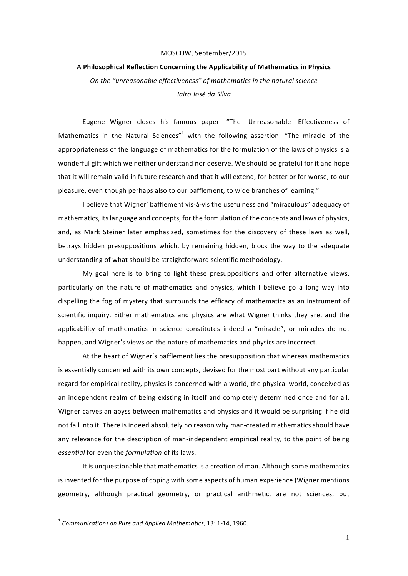## MOSCOW, September/2015

## **A Philosophical Reflection Concerning the Applicability of Mathematics in Physics**

*On the "unreasonable effectiveness" of mathematics in the natural science Jairo José da Silva*

Eugene Wigner closes his famous paper "The Unreasonable Effectiveness of Mathematics in the Natural Sciences"<sup>1</sup> with the following assertion: "The miracle of the appropriateness of the language of mathematics for the formulation of the laws of physics is a wonderful gift which we neither understand nor deserve. We should be grateful for it and hope that it will remain valid in future research and that it will extend, for better or for worse, to our pleasure, even though perhaps also to our bafflement, to wide branches of learning."

I believe that Wigner' bafflement vis-à-vis the usefulness and "miraculous" adequacy of mathematics, its language and concepts, for the formulation of the concepts and laws of physics, and, as Mark Steiner later emphasized, sometimes for the discovery of these laws as well, betrays hidden presuppositions which, by remaining hidden, block the way to the adequate understanding of what should be straightforward scientific methodology.

My goal here is to bring to light these presuppositions and offer alternative views, particularly on the nature of mathematics and physics, which I believe go a long way into dispelling the fog of mystery that surrounds the efficacy of mathematics as an instrument of scientific inquiry. Either mathematics and physics are what Wigner thinks they are, and the applicability of mathematics in science constitutes indeed a "miracle", or miracles do not happen, and Wigner's views on the nature of mathematics and physics are incorrect.

At the heart of Wigner's bafflement lies the presupposition that whereas mathematics is essentially concerned with its own concepts, devised for the most part without any particular regard for empirical reality, physics is concerned with a world, the physical world, conceived as an independent realm of being existing in itself and completely determined once and for all. Wigner carves an abyss between mathematics and physics and it would be surprising if he did not fall into it. There is indeed absolutely no reason why man-created mathematics should have any relevance for the description of man-independent empirical reality, to the point of being *essential* for even the *formulation* of its laws.

It is unquestionable that mathematics is a creation of man. Although some mathematics is invented for the purpose of coping with some aspects of human experience (Wigner mentions geometry, although practical geometry, or practical arithmetic, are not sciences, but

 <sup>1</sup> *Communications on Pure and Applied Mathematics*, 13: 1-14, 1960.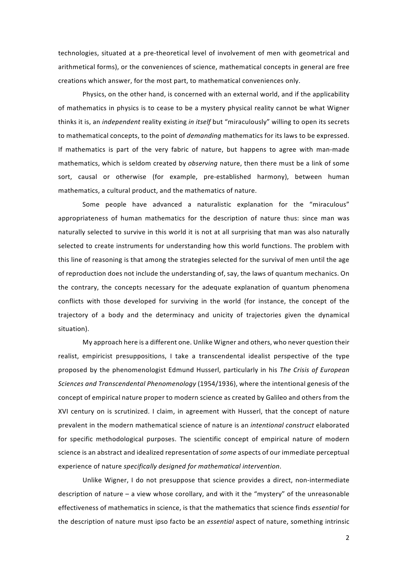technologies, situated at a pre-theoretical level of involvement of men with geometrical and arithmetical forms), or the conveniences of science, mathematical concepts in general are free creations which answer, for the most part, to mathematical conveniences only.

Physics, on the other hand, is concerned with an external world, and if the applicability of mathematics in physics is to cease to be a mystery physical reality cannot be what Wigner thinks it is, an *independent* reality existing *in itself* but "miraculously" willing to open its secrets to mathematical concepts, to the point of *demanding* mathematics for its laws to be expressed. If mathematics is part of the very fabric of nature, but happens to agree with man-made mathematics, which is seldom created by *observing* nature, then there must be a link of some sort, causal or otherwise (for example, pre-established harmony), between human mathematics, a cultural product, and the mathematics of nature.

Some people have advanced a naturalistic explanation for the "miraculous" appropriateness of human mathematics for the description of nature thus: since man was naturally selected to survive in this world it is not at all surprising that man was also naturally selected to create instruments for understanding how this world functions. The problem with this line of reasoning is that among the strategies selected for the survival of men until the age of reproduction does not include the understanding of, say, the laws of quantum mechanics. On the contrary, the concepts necessary for the adequate explanation of quantum phenomena conflicts with those developed for surviving in the world (for instance, the concept of the trajectory of a body and the determinacy and unicity of trajectories given the dynamical situation).

My approach here is a different one. Unlike Wigner and others, who never question their realist, empiricist presuppositions, I take a transcendental idealist perspective of the type proposed by the phenomenologist Edmund Husserl, particularly in his *The Crisis of European Sciences and Transcendental Phenomenology* (1954/1936), where the intentional genesis of the concept of empirical nature proper to modern science as created by Galileo and others from the XVI century on is scrutinized. I claim, in agreement with Husserl, that the concept of nature prevalent in the modern mathematical science of nature is an *intentional construct* elaborated for specific methodological purposes. The scientific concept of empirical nature of modern science is an abstract and idealized representation of *some* aspects of our immediate perceptual experience of nature *specifically designed for mathematical intervention*.

Unlike Wigner, I do not presuppose that science provides a direct, non-intermediate description of nature – a view whose corollary, and with it the "mystery" of the unreasonable effectiveness of mathematics in science, is that the mathematics that science finds *essential* for the description of nature must ipso facto be an *essential* aspect of nature, something intrinsic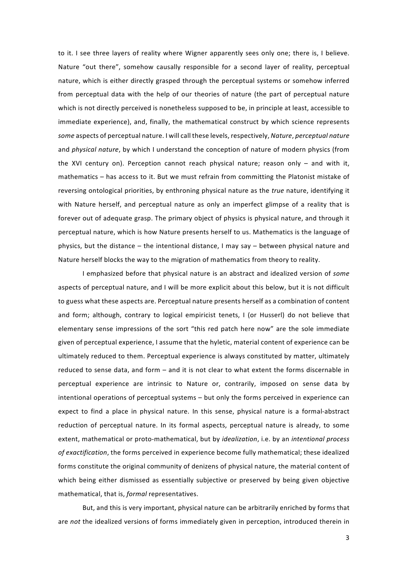to it. I see three layers of reality where Wigner apparently sees only one; there is, I believe. Nature "out there", somehow causally responsible for a second layer of reality, perceptual nature, which is either directly grasped through the perceptual systems or somehow inferred from perceptual data with the help of our theories of nature (the part of perceptual nature which is not directly perceived is nonetheless supposed to be, in principle at least, accessible to immediate experience), and, finally, the mathematical construct by which science represents *some* aspects of perceptual nature. I will call these levels, respectively, *Nature*, *perceptual nature* and *physical nature*, by which I understand the conception of nature of modern physics (from the XVI century on). Perception cannot reach physical nature; reason only – and with it, mathematics – has access to it. But we must refrain from committing the Platonist mistake of reversing ontological priorities, by enthroning physical nature as the *true* nature, identifying it with Nature herself, and perceptual nature as only an imperfect glimpse of a reality that is forever out of adequate grasp. The primary object of physics is physical nature, and through it perceptual nature, which is how Nature presents herself to us. Mathematics is the language of physics, but the distance – the intentional distance, I may say – between physical nature and Nature herself blocks the way to the migration of mathematics from theory to reality.

I emphasized before that physical nature is an abstract and idealized version of *some* aspects of perceptual nature, and I will be more explicit about this below, but it is not difficult to guess what these aspects are. Perceptual nature presents herself as a combination of content and form; although, contrary to logical empiricist tenets, I (or Husserl) do not believe that elementary sense impressions of the sort "this red patch here now" are the sole immediate given of perceptual experience, I assume that the hyletic, material content of experience can be ultimately reduced to them. Perceptual experience is always constituted by matter, ultimately reduced to sense data, and form – and it is not clear to what extent the forms discernable in perceptual experience are intrinsic to Nature or, contrarily, imposed on sense data by intentional operations of perceptual systems – but only the forms perceived in experience can expect to find a place in physical nature. In this sense, physical nature is a formal-abstract reduction of perceptual nature. In its formal aspects, perceptual nature is already, to some extent, mathematical or proto-mathematical, but by *idealization*, i.e. by an *intentional process of exactification*, the forms perceived in experience become fully mathematical; these idealized forms constitute the original community of denizens of physical nature, the material content of which being either dismissed as essentially subjective or preserved by being given objective mathematical, that is, *formal* representatives.

But, and this is very important, physical nature can be arbitrarily enriched by forms that are *not* the idealized versions of forms immediately given in perception, introduced therein in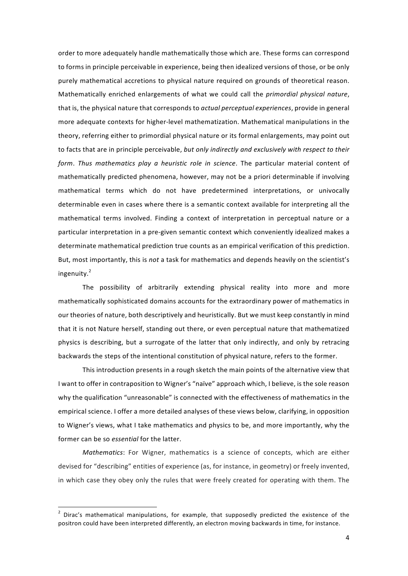order to more adequately handle mathematically those which are. These forms can correspond to forms in principle perceivable in experience, being then idealized versions of those, or be only purely mathematical accretions to physical nature required on grounds of theoretical reason. Mathematically enriched enlargements of what we could call the *primordial physical nature*, that is, the physical nature that corresponds to *actual perceptual experiences*, provide in general more adequate contexts for higher-level mathematization. Mathematical manipulations in the theory, referring either to primordial physical nature or its formal enlargements, may point out to facts that are in principle perceivable, *but only indirectly and exclusively with respect to their form*. *Thus mathematics play a heuristic role in science*. The particular material content of mathematically predicted phenomena, however, may not be a priori determinable if involving mathematical terms which do not have predetermined interpretations, or univocally determinable even in cases where there is a semantic context available for interpreting all the mathematical terms involved. Finding a context of interpretation in perceptual nature or a particular interpretation in a pre-given semantic context which conveniently idealized makes a determinate mathematical prediction true counts as an empirical verification of this prediction. But, most importantly, this is *not* a task for mathematics and depends heavily on the scientist's ingenuity.<sup>2</sup>

The possibility of arbitrarily extending physical reality into more and more mathematically sophisticated domains accounts for the extraordinary power of mathematics in our theories of nature, both descriptively and heuristically. But we must keep constantly in mind that it is not Nature herself, standing out there, or even perceptual nature that mathematized physics is describing, but a surrogate of the latter that only indirectly, and only by retracing backwards the steps of the intentional constitution of physical nature, refers to the former.

This introduction presents in a rough sketch the main points of the alternative view that I want to offer in contraposition to Wigner's "naïve" approach which, I believe, is the sole reason why the qualification "unreasonable" is connected with the effectiveness of mathematics in the empirical science. I offer a more detailed analyses of these views below, clarifying, in opposition to Wigner's views, what I take mathematics and physics to be, and more importantly, why the former can be so *essential* for the latter.

*Mathematics*: For Wigner, mathematics is a science of concepts, which are either devised for "describing" entities of experience (as, for instance, in geometry) or freely invented, in which case they obey only the rules that were freely created for operating with them. The

 <sup>2</sup> Dirac's mathematical manipulations, for example, that supposedly predicted the existence of the positron could have been interpreted differently, an electron moving backwards in time, for instance.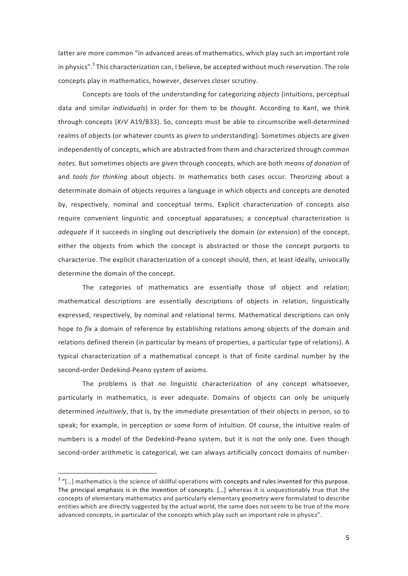latter are more common "in advanced areas of mathematics, which play such an important role in physics". $3$  This characterization can, I believe, be accepted without much reservation. The role concepts play in mathematics, however, deserves closer scrutiny.

Concepts are tools of the understanding for categorizing *objects* (intuitions, perceptual data and similar *individuals*) in order for them to be *thought*. According to Kant, we think through concepts (*KrV* A19/B33). So, concepts must be able to circumscribe well-determined realms of objects (or whatever counts as *given* to understanding). Sometimes objects are given independently of concepts, which are abstracted from them and characterized through *common notes*. But sometimes objects are *given* through concepts, which are both *means of donation* of and *tools for thinking* about objects. In mathematics both cases occur. Theorizing about a determinate domain of objects requires a language in which objects and concepts are denoted by, respectively, nominal and conceptual terms. Explicit characterization of concepts also require convenient linguistic and conceptual apparatuses; a conceptual characterization is *adequate* if it succeeds in singling out descriptively the domain (or extension) of the concept, either the objects from which the concept is abstracted or those the concept purports to characterize. The explicit characterization of a concept should, then, at least ideally, univocally determine the domain of the concept.

The categories of mathematics are essentially those of object and relation; mathematical descriptions are essentially descriptions of objects in relation, linguistically expressed, respectively, by nominal and relational terms. Mathematical descriptions can only hope *to fix* a domain of reference by establishing relations among objects of the domain and relations defined therein (in particular by means of properties, a particular type of relations). A typical characterization of a mathematical concept is that of finite cardinal number by the second-order Dedekind-Peano system of axioms.

The problems is that *no* linguistic characterization of any concept whatsoever, particularly in mathematics, is ever adequate. Domains of objects can only be uniquely determined *intuitively*, that is, by the immediate presentation of their objects in person, so to speak; for example, in perception or some form of intuition. Of course, the intuitive realm of numbers is a model of the Dedekind-Peano system, but it is not the only one. Even though second-order arithmetic is categorical, we can always artificially concoct domains of number-

<sup>&</sup>lt;sup>3</sup> "[...] mathematics is the science of skillful operations with concepts and rules invented for this purpose. The principal emphasis is in the invention of concepts. […] whereas it is unquestionably true that the concepts of elementary mathematics and particularly elementary geometry were formulated to describe entities which are directly suggested by the actual world, the same does not seem to be true of the more advanced concepts, in particular of the concepts which play such an important role in physics".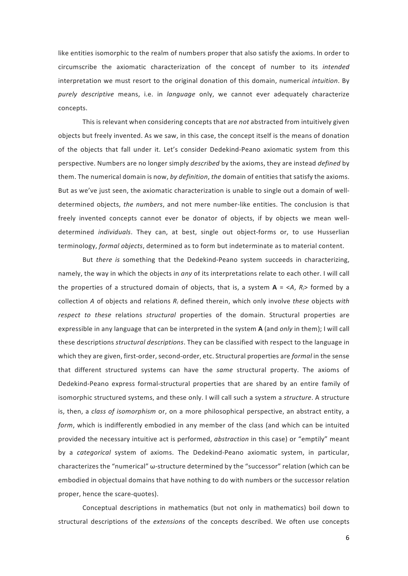like entities isomorphic to the realm of numbers proper that also satisfy the axioms. In order to circumscribe the axiomatic characterization of the concept of number to its *intended* interpretation we must resort to the original donation of this domain, numerical *intuition*. By *purely descriptive* means, i.e. in *language* only, we cannot ever adequately characterize concepts.

This is relevant when considering concepts that are *not* abstracted from intuitively given objects but freely invented. As we saw, in this case, the concept itself is the means of donation of the objects that fall under it. Let's consider Dedekind-Peano axiomatic system from this perspective. Numbers are no longer simply *described* by the axioms, they are instead *defined* by them. The numerical domain is now, *by definition*, *the* domain of entities that satisfy the axioms. But as we've just seen, the axiomatic characterization is unable to single out a domain of welldetermined objects, *the numbers*, and not mere number-like entities. The conclusion is that freely invented concepts cannot ever be donator of objects, if by objects we mean welldetermined *individuals*. They can, at best, single out object-forms or, to use Husserlian terminology, *formal objects*, determined as to form but indeterminate as to material content.

But *there is* something that the Dedekind-Peano system succeeds in characterizing, namely, the way in which the objects in *any* of its interpretations relate to each other. I will call the properties of a structured domain of objects, that is, a system  $A = \langle A, R \rangle$  formed by a collection *A* of objects and relations *Ri* defined therein, which only involve *these* objects *with respect to these* relations *structural* properties of the domain. Structural properties are expressible in any language that can be interpreted in the system **A** (and *only* in them); I will call these descriptions *structural descriptions*. They can be classified with respect to the language in which they are given, first-order, second-order, etc. Structural properties are *formal* in the sense that different structured systems can have the *same* structural property. The axioms of Dedekind-Peano express formal-structural properties that are shared by an entire family of isomorphic structured systems, and these only. I will call such a system a *structure*. A structure is, then, a *class of isomorphism* or, on a more philosophical perspective, an abstract entity, a *form*, which is indifferently embodied in any member of the class (and which can be intuited provided the necessary intuitive act is performed, *abstraction* in this case) or "emptily" meant by a *categorical* system of axioms. The Dedekind-Peano axiomatic system, in particular, characterizes the "numerical" ω-structure determined by the "successor" relation (which can be embodied in objectual domains that have nothing to do with numbers or the successor relation proper, hence the scare-quotes).

Conceptual descriptions in mathematics (but not only in mathematics) boil down to structural descriptions of the *extensions* of the concepts described. We often use concepts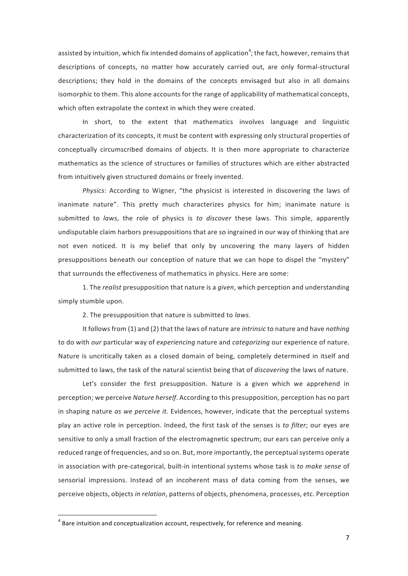assisted by intuition, which fix intended domains of application<sup>4</sup>; the fact, however, remains that descriptions of concepts, no matter how accurately carried out, are only formal-structural descriptions; they hold in the domains of the concepts envisaged but also in all domains isomorphic to them. This alone accounts for the range of applicability of mathematical concepts, which often extrapolate the context in which they were created.

In short, to the extent that mathematics involves language and linguistic characterization of its concepts, it must be content with expressing only structural properties of conceptually circumscribed domains of objects. It is then more appropriate to characterize mathematics as the science of structures or families of structures which are either abstracted from intuitively given structured domains or freely invented.

*Physics*: According to Wigner, "the physicist is interested in discovering the laws of inanimate nature". This pretty much characterizes physics for him; inanimate nature is submitted to *laws*, the role of physics is *to discover* these laws. This simple, apparently undisputable claim harbors presuppositions that are so ingrained in our way of thinking that are not even noticed. It is my belief that only by uncovering the many layers of hidden presuppositions beneath our conception of nature that we can hope to dispel the "mystery" that surrounds the effectiveness of mathematics in physics. Here are some:

1. The *realist* presupposition that nature is a *given*, which perception and understanding simply stumble upon.

2. The presupposition that nature is submitted to *laws*.

It follows from (1) and (2) that the laws of nature are *intrinsic* to nature and have *nothing*  to do with *our* particular way of *experiencing* nature and *categorizing* our experience of nature. Nature is uncritically taken as a closed domain of being, completely determined in itself and submitted to laws, the task of the natural scientist being that of *discovering* the laws of nature.

Let's consider the first presupposition. Nature is a given which we apprehend in perception; we perceive *Nature herself*. According to this presupposition, perception has no part in shaping nature *as we perceive it*. Evidences, however, indicate that the perceptual systems play an active role in perception. Indeed, the first task of the senses is *to filter*; our eyes are sensitive to only a small fraction of the electromagnetic spectrum; our ears can perceive only a reduced range of frequencies, and so on. But, more importantly, the perceptual systems operate in association with pre-categorical, built-in intentional systems whose task is *to make sense* of sensorial impressions. Instead of an incoherent mass of data coming from the senses, we perceive objects, objects *in relation*, patterns of objects, phenomena, processes, etc. Perception

<sup>&</sup>lt;sup>4</sup> Bare intuition and conceptualization account, respectively, for reference and meaning.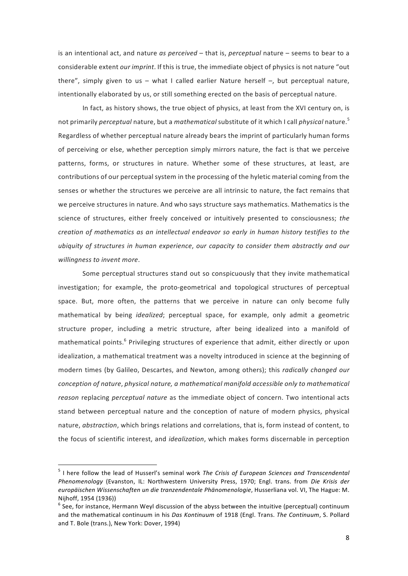is an intentional act, and nature *as perceived* – that is, *perceptual* nature – seems to bear to a considerable extent *our imprint*. If this is true, the immediate object of physics is not nature "out there", simply given to us – what I called earlier Nature herself –, but perceptual nature, intentionally elaborated by us, or still something erected on the basis of perceptual nature.

In fact, as history shows, the true object of physics, at least from the XVI century on, is not primarily *perceptual* nature, but a *mathematical* substitute of it which I call *physical* nature. 5 Regardless of whether perceptual nature already bears the imprint of particularly human forms of perceiving or else, whether perception simply mirrors nature, the fact is that we perceive patterns, forms, or structures in nature. Whether some of these structures, at least, are contributions of our perceptual system in the processing of the hyletic material coming from the senses or whether the structures we perceive are all intrinsic to nature, the fact remains that we perceive structures in nature. And who says structure says mathematics. Mathematics is the science of structures, either freely conceived or intuitively presented to consciousness; *the creation of mathematics as an intellectual endeavor so early in human history testifies to the ubiquity of structures in human experience*, *our capacity to consider them abstractly and our willingness to invent more*.

Some perceptual structures stand out so conspicuously that they invite mathematical investigation; for example, the proto-geometrical and topological structures of perceptual space. But, more often, the patterns that we perceive in nature can only become fully mathematical by being *idealized*; perceptual space, for example, only admit a geometric structure proper, including a metric structure, after being idealized into a manifold of mathematical points.<sup>6</sup> Privileging structures of experience that admit, either directly or upon idealization, a mathematical treatment was a novelty introduced in science at the beginning of modern times (by Galileo, Descartes, and Newton, among others); this *radically changed our conception of nature*, *physical nature, a mathematical manifold accessible only to mathematical reason* replacing *perceptual nature* as the immediate object of concern. Two intentional acts stand between perceptual nature and the conception of nature of modern physics, physical nature, *abstraction*, which brings relations and correlations, that is, form instead of content, to the focus of scientific interest, and *idealization*, which makes forms discernable in perception

 <sup>5</sup> I here follow the lead of Husserl's seminal work *The Crisis of European Sciences and Transcendental Phenomenology* (Evanston, IL: Northwestern University Press, 1970; Engl. trans. from *Die Krisis der europäischen Wissenschaften un die tranzendentale Phänomenologie*, Husserliana vol. VI, The Hague: M. Nijhoff, 1954 (1936))

 $^6$  See, for instance, Hermann Weyl discussion of the abyss between the intuitive (perceptual) continuum and the mathematical continuum in his *Das Kontinuum* of 1918 (Engl. Trans. *The Continuum*, S. Pollard and T. Bole (trans.), New York: Dover, 1994)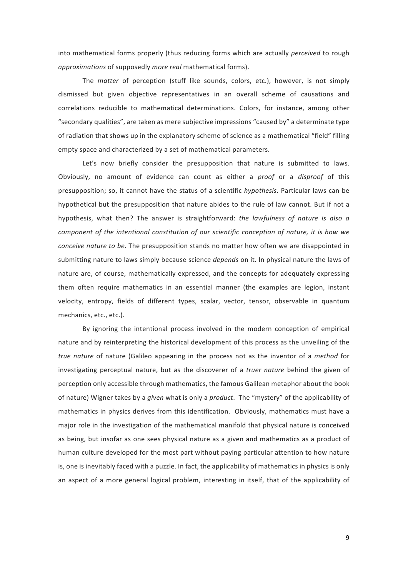into mathematical forms properly (thus reducing forms which are actually *perceived* to rough *approximations* of supposedly *more real* mathematical forms).

The *matter* of perception (stuff like sounds, colors, etc.), however, is not simply dismissed but given objective representatives in an overall scheme of causations and correlations reducible to mathematical determinations. Colors, for instance, among other "secondary qualities", are taken as mere subjective impressions "caused by" a determinate type of radiation that shows up in the explanatory scheme of science as a mathematical "field" filling empty space and characterized by a set of mathematical parameters.

Let's now briefly consider the presupposition that nature is submitted to laws. Obviously, no amount of evidence can count as either a *proof* or a *disproof* of this presupposition; so, it cannot have the status of a scientific *hypothesis*. Particular laws can be hypothetical but the presupposition that nature abides to the rule of law cannot. But if not a hypothesis, what then? The answer is straightforward: *the lawfulness of nature is also a component of the intentional constitution of our scientific conception of nature, it is how we conceive nature to be*. The presupposition stands no matter how often we are disappointed in submitting nature to laws simply because science *depends* on it. In physical nature the laws of nature are, of course, mathematically expressed, and the concepts for adequately expressing them often require mathematics in an essential manner (the examples are legion, instant velocity, entropy, fields of different types, scalar, vector, tensor, observable in quantum mechanics, etc., etc.).

By ignoring the intentional process involved in the modern conception of empirical nature and by reinterpreting the historical development of this process as the unveiling of the *true nature* of nature (Galileo appearing in the process not as the inventor of a *method* for investigating perceptual nature, but as the discoverer of a *truer nature* behind the given of perception only accessible through mathematics, the famous Galilean metaphor about the book of nature) Wigner takes by a *given* what is only a *product*. The "mystery" of the applicability of mathematics in physics derives from this identification. Obviously, mathematics must have a major role in the investigation of the mathematical manifold that physical nature is conceived as being, but insofar as one sees physical nature as a given and mathematics as a product of human culture developed for the most part without paying particular attention to how nature is, one is inevitably faced with a puzzle. In fact, the applicability of mathematics in physics is only an aspect of a more general logical problem, interesting in itself, that of the applicability of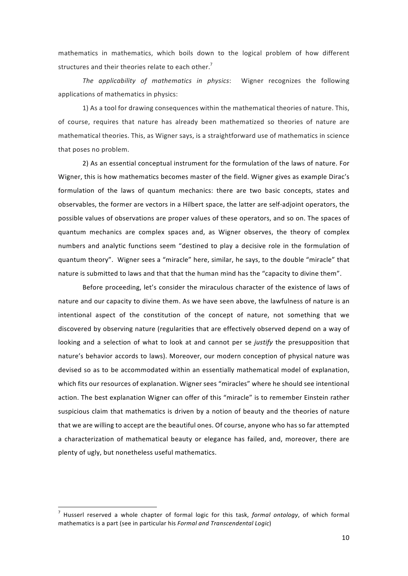mathematics in mathematics, which boils down to the logical problem of how different structures and their theories relate to each other.<sup>7</sup>

*The applicability of mathematics in physics*: Wigner recognizes the following applications of mathematics in physics:

1) As a tool for drawing consequences within the mathematical theories of nature. This, of course, requires that nature has already been mathematized so theories of nature are mathematical theories. This, as Wigner says, is a straightforward use of mathematics in science that poses no problem.

2) As an essential conceptual instrument for the formulation of the laws of nature. For Wigner, this is how mathematics becomes master of the field. Wigner gives as example Dirac's formulation of the laws of quantum mechanics: there are two basic concepts, states and observables, the former are vectors in a Hilbert space, the latter are self-adjoint operators, the possible values of observations are proper values of these operators, and so on. The spaces of quantum mechanics are complex spaces and, as Wigner observes, the theory of complex numbers and analytic functions seem "destined to play a decisive role in the formulation of quantum theory". Wigner sees a "miracle" here, similar, he says, to the double "miracle" that nature is submitted to laws and that that the human mind has the "capacity to divine them".

Before proceeding, let's consider the miraculous character of the existence of laws of nature and our capacity to divine them. As we have seen above, the lawfulness of nature is an intentional aspect of the constitution of the concept of nature, not something that we discovered by observing nature (regularities that are effectively observed depend on a way of looking and a selection of what to look at and cannot per se *justify* the presupposition that nature's behavior accords to laws). Moreover, our modern conception of physical nature was devised so as to be accommodated within an essentially mathematical model of explanation, which fits our resources of explanation. Wigner sees "miracles" where he should see intentional action. The best explanation Wigner can offer of this "miracle" is to remember Einstein rather suspicious claim that mathematics is driven by a notion of beauty and the theories of nature that we are willing to accept are the beautiful ones. Of course, anyone who has so far attempted a characterization of mathematical beauty or elegance has failed, and, moreover, there are plenty of ugly, but nonetheless useful mathematics.

 <sup>7</sup> Husserl reserved a whole chapter of formal logic for this task, *formal ontology*, of which formal mathematics is a part (see in particular his *Formal and Transcendental Logic*)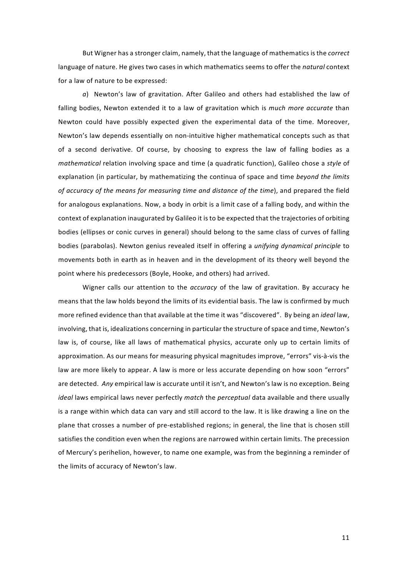But Wigner has a stronger claim, namely, that the language of mathematics is the *correct* language of nature. He gives two cases in which mathematics seems to offer the *natural* context for a law of nature to be expressed:

*a*) Newton's law of gravitation. After Galileo and others had established the law of falling bodies, Newton extended it to a law of gravitation which is *much more accurate* than Newton could have possibly expected given the experimental data of the time. Moreover, Newton's law depends essentially on non-intuitive higher mathematical concepts such as that of a second derivative. Of course, by choosing to express the law of falling bodies as a *mathematical* relation involving space and time (a quadratic function), Galileo chose a *style* of explanation (in particular, by mathematizing the continua of space and time *beyond the limits of accuracy of the means for measuring time and distance of the time*), and prepared the field for analogous explanations. Now, a body in orbit is a limit case of a falling body, and within the context of explanation inaugurated by Galileo it is to be expected that the trajectories of orbiting bodies (ellipses or conic curves in general) should belong to the same class of curves of falling bodies (parabolas). Newton genius revealed itself in offering a *unifying dynamical principle* to movements both in earth as in heaven and in the development of its theory well beyond the point where his predecessors (Boyle, Hooke, and others) had arrived.

Wigner calls our attention to the *accuracy* of the law of gravitation. By accuracy he means that the law holds beyond the limits of its evidential basis. The law is confirmed by much more refined evidence than that available at the time it was "discovered". By being an *ideal* law, involving, that is, idealizations concerning in particular the structure of space and time, Newton's law is, of course, like all laws of mathematical physics, accurate only up to certain limits of approximation. As our means for measuring physical magnitudes improve, "errors" vis-à-vis the law are more likely to appear. A law is more or less accurate depending on how soon "errors" are detected. *Any* empirical law is accurate until it isn't, and Newton's law is no exception. Being *ideal* laws empirical laws never perfectly *match* the *perceptual* data available and there usually is a range within which data can vary and still accord to the law. It is like drawing a line on the plane that crosses a number of pre-established regions; in general, the line that is chosen still satisfies the condition even when the regions are narrowed within certain limits. The precession of Mercury's perihelion, however, to name one example, was from the beginning a reminder of the limits of accuracy of Newton's law.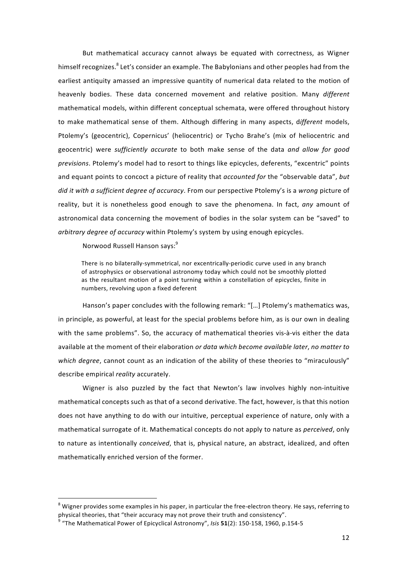But mathematical accuracy cannot always be equated with correctness, as Wigner himself recognizes.<sup>8</sup> Let's consider an example. The Babylonians and other peoples had from the earliest antiquity amassed an impressive quantity of numerical data related to the motion of heavenly bodies. These data concerned movement and relative position. Many *different* mathematical models, within different conceptual schemata, were offered throughout history to make mathematical sense of them. Although differing in many aspects, d*ifferent* models, Ptolemy's (geocentric), Copernicus' (heliocentric) or Tycho Brahe's (mix of heliocentric and geocentric) were *sufficiently accurate* to both make sense of the data *and allow for good previsions*. Ptolemy's model had to resort to things like epicycles, deferents, "excentric" points and equant points to concoct a picture of reality that *accounted for* the "observable data", *but did it with a sufficient degree of accuracy*. From our perspective Ptolemy's is a *wrong* picture of reality, but it is nonetheless good enough to save the phenomena. In fact, *any* amount of astronomical data concerning the movement of bodies in the solar system can be "saved" to *arbitrary degree of accuracy* within Ptolemy's system by using enough epicycles.

Norwood Russell Hanson says:<sup>9</sup>

There is no bilaterally-symmetrical, nor excentrically-periodic curve used in any branch of astrophysics or observational astronomy today which could not be smoothly plotted as the resultant motion of a point turning within a constellation of epicycles, finite in numbers, revolving upon a fixed deferent

Hanson's paper concludes with the following remark: "[…] Ptolemy's mathematics was, in principle, as powerful, at least for the special problems before him, as is our own in dealing with the same problems". So, the accuracy of mathematical theories vis-à-vis either the data available at the moment of their elaboration *or data which become available later*, *no matter to which degree*, cannot count as an indication of the ability of these theories to "miraculously" describe empirical *reality* accurately.

Wigner is also puzzled by the fact that Newton's law involves highly non-intuitive mathematical concepts such as that of a second derivative. The fact, however, is that this notion does not have anything to do with our intuitive, perceptual experience of nature, only with a mathematical surrogate of it. Mathematical concepts do not apply to nature as *perceived*, only to nature as intentionally *conceived*, that is, physical nature, an abstract, idealized, and often mathematically enriched version of the former.

Wigner provides some examples in his paper, in particular the free-electron theory. He says, referring to physical theories, that "their accuracy may not prove their truth and consistency".

<sup>9</sup> "The Mathematical Power of Epicyclical Astronomy", *Isis* **51**(2): 150-158, 1960, p.154-5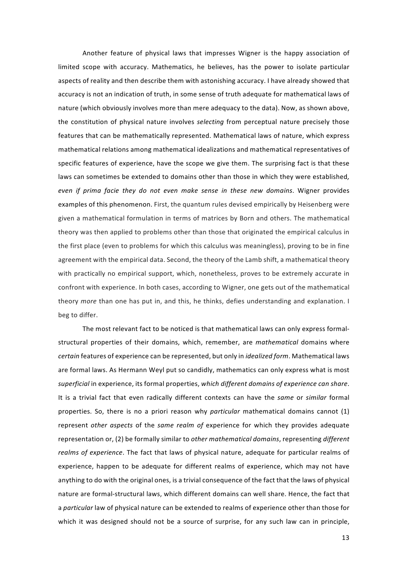Another feature of physical laws that impresses Wigner is the happy association of limited scope with accuracy. Mathematics, he believes, has the power to isolate particular aspects of reality and then describe them with astonishing accuracy. I have already showed that accuracy is not an indication of truth, in some sense of truth adequate for mathematical laws of nature (which obviously involves more than mere adequacy to the data). Now, as shown above, the constitution of physical nature involves *selecting* from perceptual nature precisely those features that can be mathematically represented. Mathematical laws of nature, which express mathematical relations among mathematical idealizations and mathematical representatives of specific features of experience, have the scope we give them. The surprising fact is that these laws can sometimes be extended to domains other than those in which they were established*, even if prima facie they do not even make sense in these new domains*. Wigner provides examples of this phenomenon. First, the quantum rules devised empirically by Heisenberg were given a mathematical formulation in terms of matrices by Born and others. The mathematical theory was then applied to problems other than those that originated the empirical calculus in the first place (even to problems for which this calculus was meaningless), proving to be in fine agreement with the empirical data. Second, the theory of the Lamb shift, a mathematical theory with practically no empirical support, which, nonetheless, proves to be extremely accurate in confront with experience. In both cases, according to Wigner, one gets out of the mathematical theory *more* than one has put in, and this, he thinks, defies understanding and explanation. I beg to differ.

The most relevant fact to be noticed is that mathematical laws can only express formalstructural properties of their domains, which, remember, are *mathematical* domains where *certain* features of experience can be represented, but only in *idealized form*. Mathematical laws are formal laws. As Hermann Weyl put so candidly, mathematics can only express what is most *superficial* in experience, its formal properties, *which different domains of experience can share*. It is a trivial fact that even radically different contexts can have the *same* or *similar* formal properties. So, there is no a priori reason why *particular* mathematical domains cannot (1) represent *other aspects* of the *same realm of* experience for which they provides adequate representation or, (2) be formally similar to *other mathematical domains*, representing *different realms of experience*. The fact that laws of physical nature, adequate for particular realms of experience, happen to be adequate for different realms of experience, which may not have anything to do with the original ones, is a trivial consequence of the fact that the laws of physical nature are formal-structural laws, which different domains can well share. Hence, the fact that a *particular* law of physical nature can be extended to realms of experience other than those for which it was designed should not be a source of surprise, for any such law can in principle,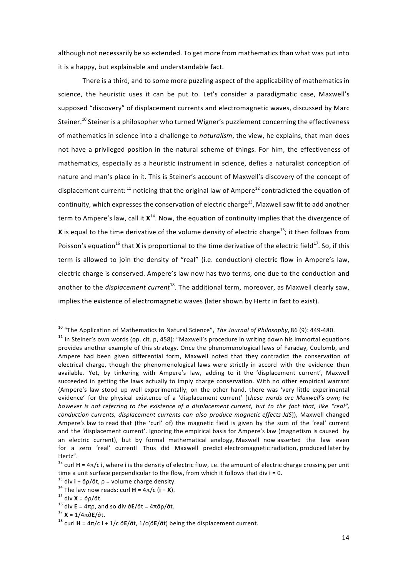although not necessarily be so extended. To get more from mathematics than what was put into it is a happy, but explainable and understandable fact.

There is a third, and to some more puzzling aspect of the applicability of mathematics in science, the heuristic uses it can be put to. Let's consider a paradigmatic case, Maxwell's supposed "discovery" of displacement currents and electromagnetic waves, discussed by Marc Steiner.<sup>10</sup> Steiner is a philosopher who turned Wigner's puzzlement concerning the effectiveness of mathematics in science into a challenge to *naturalism*, the view, he explains, that man does not have a privileged position in the natural scheme of things. For him, the effectiveness of mathematics, especially as a heuristic instrument in science, defies a naturalist conception of nature and man's place in it. This is Steiner's account of Maxwell's discovery of the concept of displacement current:  $11$  noticing that the original law of Ampere<sup>12</sup> contradicted the equation of continuity, which expresses the conservation of electric charge<sup>13</sup>, Maxwell saw fit to add another term to Ampere's law, call it **X**14. Now, the equation of continuity implies that the divergence of **X** is equal to the time derivative of the volume density of electric charge<sup>15</sup>; it then follows from Poisson's equation<sup>16</sup> that **X** is proportional to the time derivative of the electric field<sup>17</sup>. So, if this term is allowed to join the density of "real" (i.e. conduction) electric flow in Ampere's law, electric charge is conserved. Ampere's law now has two terms, one due to the conduction and another to the *displacement current*<sup>18</sup>. The additional term, moreover, as Maxwell clearly saw, implies the existence of electromagnetic waves (later shown by Hertz in fact to exist).

 <sup>10</sup> "The Application of Mathematics to Natural Science", *The Journal of Philosophy*, <sup>86</sup> (9): 449-480.

<sup>&</sup>lt;sup>11</sup> In Steiner's own words (op. cit. p, 458): "Maxwell's procedure in writing down his immortal equations provides another example of this strategy. Once the phenomenological laws of Faraday, Coulomb, and Ampere had been given differential form, Maxwell noted that they contradict the conservation of electrical charge, though the phenomenological laws were strictly in accord with the evidence then available. Yet, by tinkering with Ampere's law, adding to it the 'displacement current', Maxwell succeeded in getting the laws actually to imply charge conservation. With no other empirical warrant (Ampere's law stood up well experimentally; on the other hand, there was 'very little experimental evidence' for the physical existence of a 'displacement current' [*these words are Maxwell's own; he* however is not referring to the existence of a displacement current, but to the fact that, like "real", *conduction currents, displacement currents can also produce magnetic effects JdS*]), Maxwell changed Ampere's law to read that (the 'curl' of) the magnetic field is given by the sum of the 'real' current and the 'displacement current'. Ignoring the empirical basis for Ampere's law (magnetism is caused by an electric current), but by formal mathematical analogy, Maxwell now asserted the law even for a zero 'real' current! Thus did Maxwell predict electromagnetic radiation, produced later by Hertz".

<sup>12</sup> curl **H** = 4π/c **i**, where **i** is the density of electric flow, i.e. the amount of electric charge crossing per unit time a unit surface perpendicular to the flow, from which it follows that div **i** = 0.

<sup>13</sup> div **i** + ∂ρ/∂t, ρ = volume charge density.

<sup>&</sup>lt;sup>14</sup> The law now reads: curl **H** =  $4\pi$ /c (**i** + **X**).

<sup>15</sup> div **X** = ∂ρ/∂t

<sup>16</sup> div **E** = 4πρ, and so div ∂**E**/∂t = 4π∂ρ/∂t.

<sup>17</sup> **X** = 1/4π∂**E**/∂t.

<sup>18</sup> curl **H** = 4π/c **i** + 1/c ∂**E**/∂t, 1/c(∂**E**/∂t) being the displacement current.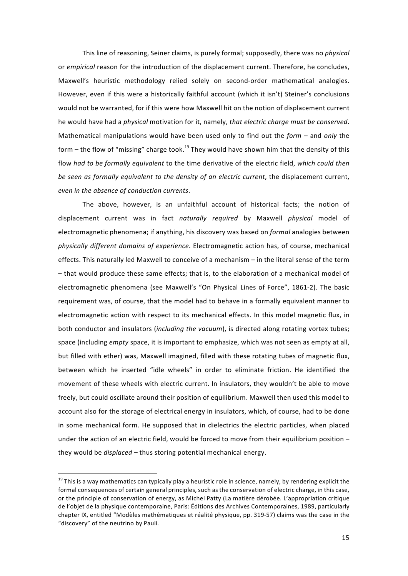This line of reasoning, Seiner claims, is purely formal; supposedly, there was no *physical* or *empirical* reason for the introduction of the displacement current. Therefore, he concludes, Maxwell's heuristic methodology relied solely on second-order mathematical analogies. However, even if this were a historically faithful account (which it isn't) Steiner's conclusions would not be warranted, for if this were how Maxwell hit on the notion of displacement current he would have had a *physical* motivation for it, namely, *that electric charge must be conserved*. Mathematical manipulations would have been used only to find out the *form* – and *only* the form – the flow of "missing" charge took.<sup>19</sup> They would have shown him that the density of this flow *had to be formally equivalent* to the time derivative of the electric field, *which could then be seen as formally equivalent to the density of an electric current*, the displacement current, *even in the absence of conduction currents*.

The above, however, is an unfaithful account of historical facts; the notion of displacement current was in fact *naturally required* by Maxwell *physical* model of electromagnetic phenomena; if anything, his discovery was based on *formal* analogies between *physically different domains of experience*. Electromagnetic action has, of course, mechanical effects. This naturally led Maxwell to conceive of a mechanism – in the literal sense of the term – that would produce these same effects; that is, to the elaboration of a mechanical model of electromagnetic phenomena (see Maxwell's "On Physical Lines of Force", 1861-2). The basic requirement was, of course, that the model had to behave in a formally equivalent manner to electromagnetic action with respect to its mechanical effects. In this model magnetic flux, in both conductor and insulators (*including the vacuum*), is directed along rotating vortex tubes; space (including *empty* space, it is important to emphasize, which was not seen as empty at all, but filled with ether) was, Maxwell imagined, filled with these rotating tubes of magnetic flux, between which he inserted "idle wheels" in order to eliminate friction. He identified the movement of these wheels with electric current. In insulators, they wouldn't be able to move freely, but could oscillate around their position of equilibrium. Maxwell then used this model to account also for the storage of electrical energy in insulators, which, of course, had to be done in some mechanical form. He supposed that in dielectrics the electric particles, when placed under the action of an electric field, would be forced to move from their equilibrium position – they would be *displaced* – thus storing potential mechanical energy.

<sup>&</sup>lt;sup>19</sup> This is a way mathematics can typically play a heuristic role in science, namely, by rendering explicit the formal consequences of certain general principles, such as the conservation of electric charge, in this case, or the principle of conservation of energy, as Michel Patty (La matière dérobée. L'appropriation critique de l'objet de la physique contemporaine, Paris: Éditions des Archives Contemporaines, 1989, particularly chapter IX, entitled "Modèles mathématiques et réalité physique, pp. 319-57) claims was the case in the "discovery" of the neutrino by Pauli.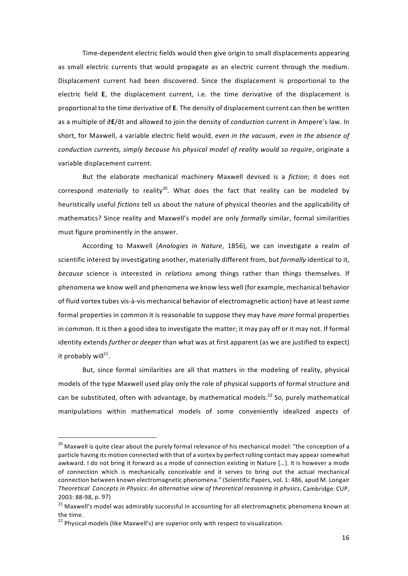Time-dependent electric fields would then give origin to small displacements appearing as small electric currents that would propagate as an electric current through the medium. Displacement current had been discovered. Since the displacement is proportional to the electric field **E**, the displacement current, i.e. the time derivative of the displacement is proportional to the time derivative of **E**. The density of displacement current can then be written as a multiple of ∂**E**/∂t and allowed to join the density of *conduction* current in Ampere's law. In short, for Maxwell, a variable electric field would, *even in the vacuum*, *even in the absence of conduction currents, simply because his physical model of reality would so require*, originate a variable displacement current.

But the elaborate mechanical machinery Maxwell devised is a *fiction*; it does not correspond *materially* to reality<sup>20</sup>. What does the fact that reality can be modeled by heuristically useful *fictions* tell us about the nature of physical theories and the applicability of mathematics? Since reality and Maxwell's model are only *formally* similar, formal similarities must figure prominently in the answer.

According to Maxwell (*Analogies in Nature*, 1856), we can investigate a realm of scientific interest by investigating another, materially different from, but *formally* identical to it, *because* science is interested in *relations* among things rather than things themselves. If phenomena we know well and phenomena we know less well (for example, mechanical behavior of fluid vortex tubes vis-à-vis mechanical behavior of electromagnetic action) have at least *some* formal properties in common it is reasonable to suppose they may have *more* formal properties in common. It is then a good idea to investigate the matter; it may pay off or it may not. If formal identity extends *further* or *deeper* than what was at first apparent (as we are justified to expect) it probably will $^{21}$ .

But, since formal similarities are all that matters in the modeling of reality, physical models of the type Maxwell used play only the role of physical supports of formal structure and can be substituted, often with advantage, by mathematical models.<sup>22</sup> So, purely mathematical manipulations within mathematical models of some conveniently idealized aspects of

<sup>&</sup>lt;sup>20</sup> Maxwell is quite clear about the purely formal relevance of his mechanical model: "the conception of a particle having its motion connected with that of a vortex by perfect rolling contact may appear somewhat awkward. I do not bring it forward as a mode of connection existing in Nature […]. It is however a mode of connection which is mechanically conceivable and it serves to bring out the actual mechanical connection between known electromagnetic phenomena." (Scientific Papers, vol. 1: 486, apud M. Longair *Theoretical Concepts in Physics: An alternative view of theoretical reasoning in physics*, Cambridge: CUP, 2003: 88-98, p. 97)

 $21$  Maxwell's model was admirably successful in accounting for all electromagnetic phenomena known at the time.

 $22$  Physical models (like Maxwell's) are superior only with respect to visualization.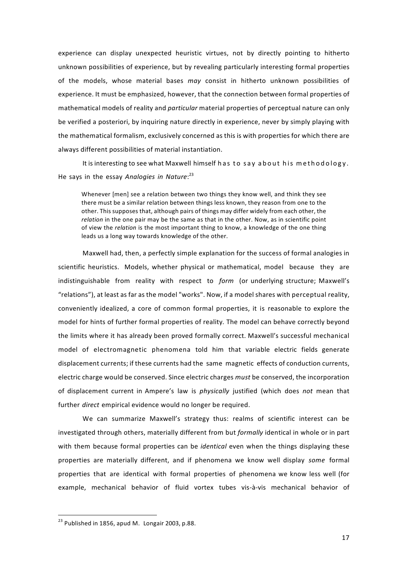experience can display unexpected heuristic virtues, not by directly pointing to hitherto unknown possibilities of experience, but by revealing particularly interesting formal properties of the models, whose material bases *may* consist in hitherto unknown possibilities of experience. It must be emphasized, however, that the connection between formal properties of mathematical models of reality and *particular* material properties of perceptual nature can only be verified a posteriori, by inquiring nature directly in experience, never by simply playing with the mathematical formalism, exclusively concerned as this is with properties for which there are always different possibilities of material instantiation.

It is interesting to see what Maxwell himself has to say about his methodology. He says in the essay *Analogies in Nature*: 23

Whenever [men] see a relation between two things they know well, and think they see there must be a similar relation between things less known, they reason from one to the other. This supposes that, although pairs of things may differ widely from each other, the *relation* in the one pair may be the same as that in the other. Now, as in scientific point of view the *relation* is the most important thing to know, a knowledge of the one thing leads us a long way towards knowledge of the other.

Maxwell had, then, a perfectly simple explanation for the success of formal analogies in scientific heuristics. Models, whether physical or mathematical, model because they are indistinguishable from reality with respect to *form* (or underlying structure; Maxwell's "relations"), at least as far as the model "works". Now, if a model shares with perceptual reality, conveniently idealized, a core of common formal properties, it is reasonable to explore the model for hints of further formal properties of reality. The model can behave correctly beyond the limits where it has already been proved formally correct. Maxwell's successful mechanical model of electromagnetic phenomena told him that variable electric fields generate displacement currents; if these currents had the same magnetic effects of conduction currents, electric charge would be conserved. Since electric charges *must* be conserved, the incorporation of displacement current in Ampere's law is *physically* justified (which does *not* mean that further *direct* empirical evidence would no longer be required.

We can summarize Maxwell's strategy thus: realms of scientific interest can be investigated through others, materially different from but *formally* identical in whole or in part with them because formal properties can be *identical* even when the things displaying these properties are materially different, and if phenomena we know well display *some* formal properties that are identical with formal properties of phenomena we know less well (for example, mechanical behavior of fluid vortex tubes vis-à-vis mechanical behavior of

 $^{23}$  Published in 1856, apud M. Longair 2003, p.88.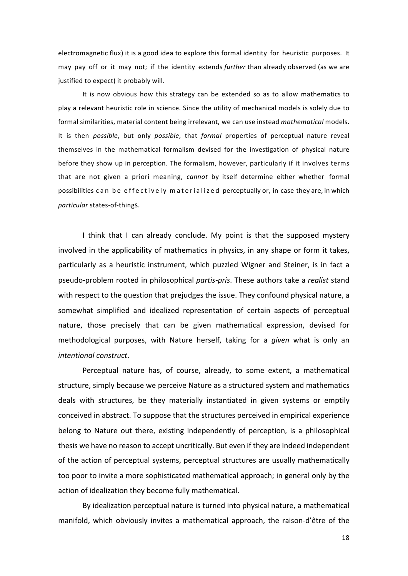electromagnetic flux) it is a good idea to explore this formal identity for heuristic purposes. It may pay off or it may not; if the identity extends *further* than already observed (as we are justified to expect) it probably will.

It is now obvious how this strategy can be extended so as to allow mathematics to play a relevant heuristic role in science. Since the utility of mechanical models is solely due to formal similarities, material content being irrelevant, we can use instead *mathematical* models. It is then *possible*, but only *possible*, that *formal* properties of perceptual nature reveal themselves in the mathematical formalism devised for the investigation of physical nature before they show up in perception. The formalism, however, particularly if it involves terms that are not given a priori meaning, *cannot* by itself determine either whether formal possibilities can be effectively materialized perceptually or, in case they are, in which *particular* states-of-things.

I think that I can already conclude. My point is that the supposed mystery involved in the applicability of mathematics in physics, in any shape or form it takes, particularly as a heuristic instrument, which puzzled Wigner and Steiner, is in fact a pseudo-problem rooted in philosophical *partis-pris*. These authors take a *realist* stand with respect to the question that prejudges the issue. They confound physical nature, a somewhat simplified and idealized representation of certain aspects of perceptual nature, those precisely that can be given mathematical expression, devised for methodological purposes, with Nature herself, taking for a *given* what is only an *intentional construct*.

Perceptual nature has, of course, already, to some extent, a mathematical structure, simply because we perceive Nature as a structured system and mathematics deals with structures, be they materially instantiated in given systems or emptily conceived in abstract. To suppose that the structures perceived in empirical experience belong to Nature out there, existing independently of perception, is a philosophical thesis we have no reason to accept uncritically. But even if they are indeed independent of the action of perceptual systems, perceptual structures are usually mathematically too poor to invite a more sophisticated mathematical approach; in general only by the action of idealization they become fully mathematical.

By idealization perceptual nature is turned into physical nature, a mathematical manifold, which obviously invites a mathematical approach, the raison-d'être of the